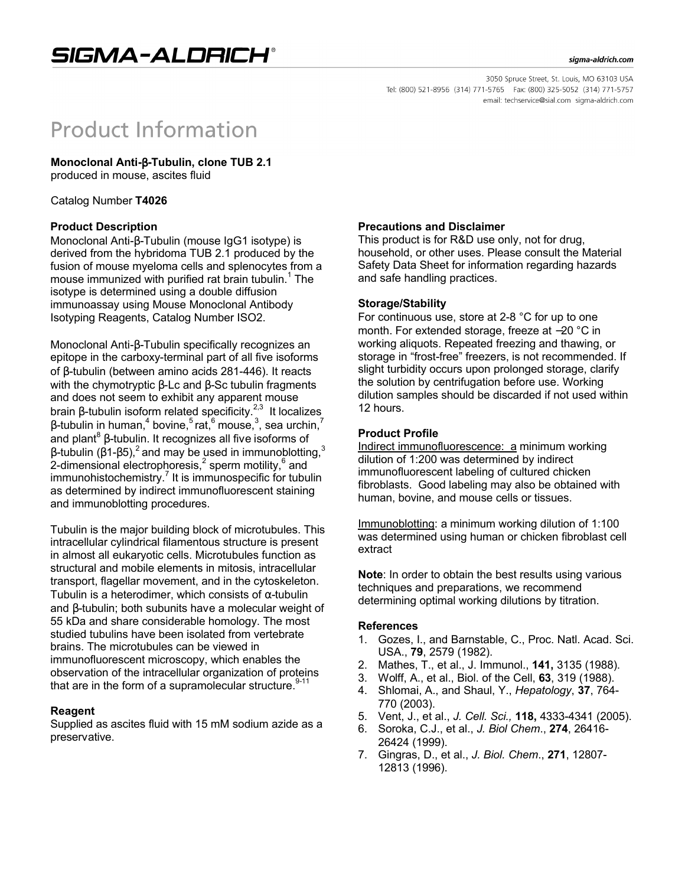#### sigma-aldrich.com

3050 Spruce Street, St. Louis, MO 63103 USA Tel: (800) 521-8956 (314) 771-5765 Fax: (800) 325-5052 (314) 771-5757 email: techservice@sial.com sigma-aldrich.com

# **Product Information**

**Monoclonal Anti-**β**-Tubulin, clone TUB 2.1**

produced in mouse, ascites fluid

Catalog Number **T4026**

# **Product Description**

Monoclonal Anti-β-Tubulin (mouse IgG1 isotype) is derived from the hybridoma TUB 2.1 produced by the fusion of mouse myeloma cells and splenocytes from a mouse immunized with purified rat brain tubulin.<sup>1</sup> The isotype is determined using a double diffusion immunoassay using Mouse Monoclonal Antibody Isotyping Reagents, Catalog Number ISO2.

Monoclonal Anti-β-Tubulin specifically recognizes an epitope in the carboxy-terminal part of all five isoforms of β-tubulin (between amino acids 281-446). It reacts with the chymotryptic β-Lc and β-Sc tubulin fragments and does not seem to exhibit any apparent mouse brain β-tubulin isoform related specificity.<sup>2,3</sup> It localizes β-tubulin in human, $^4$  bovine, $^5$ rat, $^6$  mouse, $^3$ , sea urchin, $^7$ and plant $^8$   $\beta$ -tubulin. It recognizes all five isoforms of β-tubulin (β1-β5),<sup>2</sup> and may be used in immunoblotting,<sup>3</sup> 2-dimensional electrophoresis,<sup>2</sup> sperm motility,<sup>6</sup> and immunohistochemistry.<sup>7</sup> It is immunospecific for tubulin as determined by indirect immunofluorescent staining and immunoblotting procedures.

Tubulin is the major building block of microtubules. This intracellular cylindrical filamentous structure is present in almost all eukaryotic cells. Microtubules function as structural and mobile elements in mitosis, intracellular transport, flagellar movement, and in the cytoskeleton. Tubulin is a heterodimer, which consists of  $\alpha$ -tubulin and β-tubulin; both subunits have a molecular weight of 55 kDa and share considerable homology. The most studied tubulins have been isolated from vertebrate brains. The microtubules can be viewed in immunofluorescent microscopy, which enables the observation of the intracellular organization of proteins that are in the form of a supramolecular structure.<sup>9-11</sup>

### **Reagent**

Supplied as ascites fluid with 15 mM sodium azide as a preservative.

# **Precautions and Disclaimer**

This product is for R&D use only, not for drug, household, or other uses. Please consult the Material Safety Data Sheet for information regarding hazards and safe handling practices.

### **Storage/Stability**

For continuous use, store at 2-8 °C for up to one month. For extended storage, freeze at −20 °C in working aliquots. Repeated freezing and thawing, or storage in "frost-free" freezers, is not recommended. If slight turbidity occurs upon prolonged storage, clarify the solution by centrifugation before use. Working dilution samples should be discarded if not used within 12 hours.

# **Product Profile**

Indirect immunofluorescence: a minimum working dilution of 1:200 was determined by indirect immunofluorescent labeling of cultured chicken fibroblasts. Good labeling may also be obtained with human, bovine, and mouse cells or tissues.

Immunoblotting: a minimum working dilution of 1:100 was determined using human or chicken fibroblast cell extract

**Note**: In order to obtain the best results using various techniques and preparations, we recommend determining optimal working dilutions by titration.

### **References**

- 1. Gozes, I., and Barnstable, C., Proc. Natl. Acad. Sci. USA., **79**, 2579 (1982).
- 2. Mathes, T., et al., J. Immunol., **141,** 3135 (1988).
- 3. Wolff, A., et al., Biol. of the Cell, **63**, 319 (1988).
- 4. Shlomai, A., and Shaul, Y., *Hepatology*, **37**, 764- 770 (2003).
- 5. Vent, J., et al., *J. Cell. Sci.,* **118,** 4333-4341 (2005).
- 6. Soroka, C.J., et al., *J. Biol Chem*., **274**, 26416- 26424 (1999).
- 7. Gingras, D., et al., *J. Biol. Chem*., **271**, 12807- 12813 (1996).